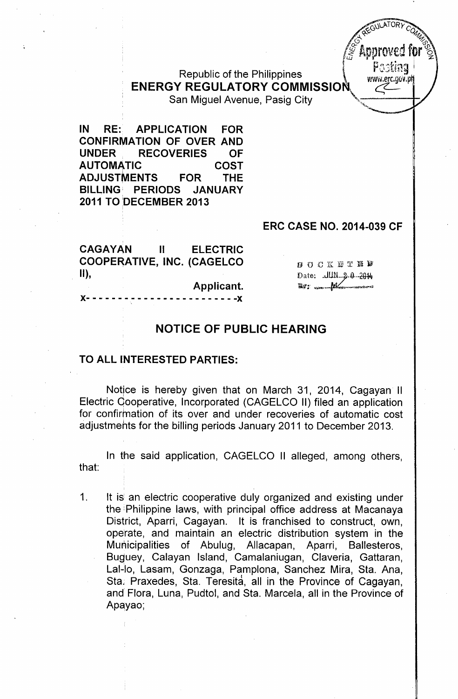R bl ' <sup>f</sup> th Ph'l' . <sup>~</sup> ,",..".f". epu IC <sup>0</sup> <sup>e</sup> <sup>I</sup> Ippmes WW\\i.erc.gfiV.p **ENERGY REGULATORY COMMISSION** San Miguel Avenue, Pasig City

**IN RE: APPLICATION FOR CONFIRMATION OF OVER AND UNDER RECOVERIES OF AUTOMATIC COST** ADJUST~ENTS **FOR THE BILLING PERIODS 2011 TO bECEMBER 2013** <sup>i</sup>

## **ERC CASE NO. 2014-039 CF**

 $Z$ GULAIURY C  $\mathcal{A}^{\mu\nu}$  $\sim$   $\sim$   $\sim$   $\sim$   $\sim$   $\sim$ \pproved !  $\int_a^b$  improves in

...•...,

| <b>CAGAYAN</b> | <b>ELECTRIC</b><br>and the state of the state of the state of the state of the state of the state of the state of the state of the |                    |  |  |
|----------------|------------------------------------------------------------------------------------------------------------------------------------|--------------------|--|--|
|                | <b>COOPERATIVE, INC. (CAGELCO</b>                                                                                                  | <b>BOCKETED</b>    |  |  |
| $\vert$ II),   |                                                                                                                                    |                    |  |  |
|                | Applicant.                                                                                                                         | Date: JUN 2-0 2014 |  |  |
|                |                                                                                                                                    |                    |  |  |

## **NOTICE OF PUBLIC HEARING**

## **TO ALL INTERESTED PARTIES:**

Notice is hereby given that on March 31, 2014, Cagayan II Electric Qooperative, Incorporated (CAGELCO II) filed an application for confirmation of its over and under recoveries of automatic cost adjustments for the billing periods January 2011 to December 2013,

In the said application, CAGELCO II alleged, among others, that:

1. It is an electric cooperative duly organized and existing under the: Philippine laws, with principal office address at Macanaya District, Aparri, Cagayan. It is franchised to construct, own, operate, and maintain an electric distribution system in the Municipalities of Abulug, Allacapan, Aparri, Ballesteros, Buguey, Calayan Island, Camalaniugan, Claveria, Gattaran, Lal-lo, Lasam, Gonzaga, Pamplona, Sanchez Mira, Sta. Ana, Sta, Praxedes, Sta. Teresita, all in the Province of Cagayan, and Flora, Luna, Pudtol, and Sta. Marcela, all in the Province of Apqyao;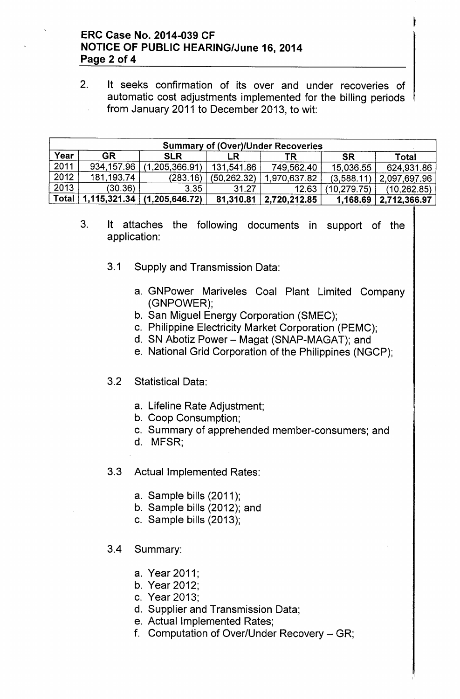## ERC Case No. 2014-039 CF NOTICE OF PUBLIC HEARING/June 16,2014 Page 2 of 4

2. It seeks confirmation of its over and under recoveries of automatic cost adjustments implemented for the billing periods from January 2011 to December 2013, to wit:

| <b>Summary of (Over)/Under Recoveries</b> |              |                               |              |              |             |              |  |
|-------------------------------------------|--------------|-------------------------------|--------------|--------------|-------------|--------------|--|
| Year                                      | <b>GR</b>    | <b>SLR</b>                    |              |              | <b>SR</b>   | <b>Total</b> |  |
| 2011                                      | 934,157.96   | (1, 205, 366.91)              | 131,541.86   | 749,562.40   | 15,036.55   | 624,931.86   |  |
| 2012                                      | 181, 193. 74 | (283.16)                      | (50, 262.32) | 1,970,637.82 | (3,588.11)  | 2,097,697.96 |  |
| 2013                                      | (30.36)      | 3.35                          | 31.27        | 12.63        | (10.279.75) | (10, 262.85) |  |
| <b>Total</b>                              |              | $1,115,321.34$ (1,205,646.72) | 81,310.81    | 2,720,212.85 | 1,168.69    | 2,712,366.97 |  |

- 3. It attaches the following documents in support of the application:
	- 3.1 Supply and Transmission Data:
		- a. GNPower Mariveles Coal Plant Limited Company (GNPOWER);
		- b. San Miguel Energy Corporation (SMEC);
		- c. Philippine Electricity Market Corporation (PEMC);
		- d. SN Abotiz Power Magat (SNAP-MAGAT); and
		- e. National Grid Corporation of the Philippines (NGCP);
	- 3.2 Statistical Data:
		- a. Lifeline Rate Adjustment;
		- b. Coop Consumption;
		- c. Summary of apprehended member-consumers; and
		- d. MFSR;
	- 3.3 Actual Implemented Rates:
		- a. Sample bills (2011);
		- b. Sample bills (2012); and
		- c. Sample bills (2013);
	- 3.4 Summary:
		- a. Year 2011;
		- b. Year 2012;
		- c. Year 2013;
		- d. Supplier and Transmission Data;
		- e. Actual Implemented Rates;
		- f. Computation of Over/Under Recovery GR;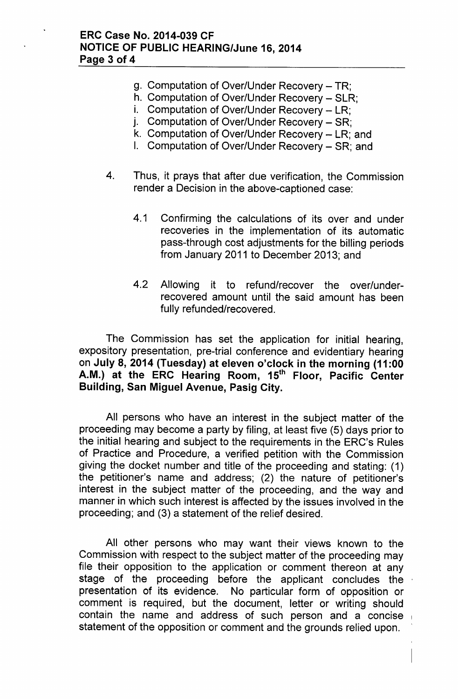- g. Computation of Over/Under Recovery  $TR$ :
- h. Computation of Over/Under Recovery SLR;
- i. Computation of Over/Under Recovery LR:
- j. Computation of Over/Under Recovery SR;
- k. Computation of Over/Under Recovery LR; and
- I. Computation of Over/Under Recovery SR; and
- 4. Thus, it prays that after due verification, the Commission render a Decision in the above-captioned case:
	- 4.1 Confirming the calculations of its over and under recoveries in the implementation of its automatic pass-through cost adjustments for the billing periods from January 2011 to December 2013; and
	- 4.2 Allowing it to refund/recover the over/underrecovered amount until the said amount has been fully refunded/recovered.

The Commission has set the application for initial hearing, expository presentation, pre-trial conference and evidentiary hearing on July 8, 2014 (Tuesday) at eleven o'clock in the morning (11 :00 A.M.) at the ERC Hearing Room, 15<sup>th</sup> Floor, Pacific Center Building, San Miguel Avenue, Pasig City.

All persons who have an interest in the subject matter of the proceeding may become a party by filing, at least five (5) days prior to the initial hearing and subject to the requirements in the ERC's Rules of Practice and Procedure, a verified petition with the Commission giving the docket number and title of the proceeding and stating: (1) the petitioner's name and address; (2) the nature of petitioner's interest in the subject matter of the proceeding, and the way and manner in which such interest is affected by the issues involved in the proceeding; and (3) a statement of the relief desired.

All other persons who may want their views known to the Commission with respect to the subject matter of the proceeding may file their opposition to the application or comment thereon at any stage of the proceeding before the applicant concludes the presentation of its evidence. No particular form of opposition or comment is required, but the document, letter or writing should contain the name and address of such person and a concise statement of the opposition or comment and the grounds relied upon.